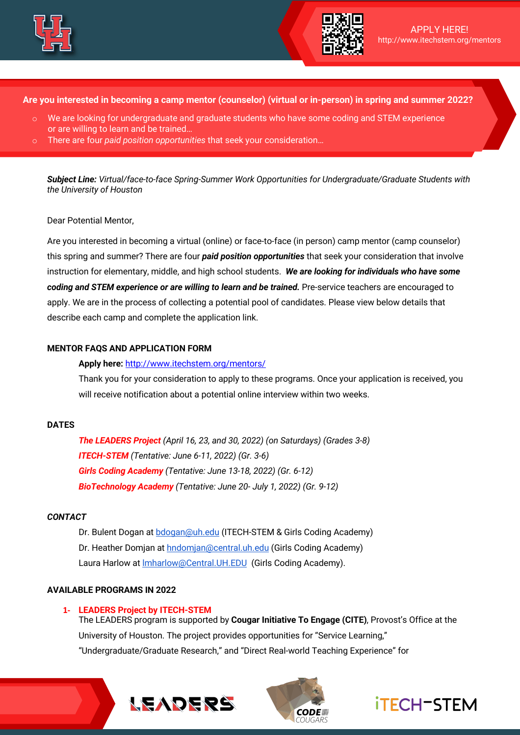



**Are you interested in becoming a camp mentor (counselor) (virtual or in-person) in spring and summer 2022?** 

- $\circ$  We are looking for undergraduate and graduate students who have some coding and STEM experience or are willing to learn and be trained…
- There are four *paid position opportunities* that seek your consideration...

*Subject Line: Virtual/face-to-face Spring-Summer Work Opportunities for Undergraduate/Graduate Students with the University of Houston*

## Dear Potential Mentor,

Are you interested in becoming a virtual (online) or face-to-face (in person) camp mentor (camp counselor) this spring and summer? There are four *paid position opportunities* that seek your consideration that involve instruction for elementary, middle, and high school students. *We are looking for individuals who have some coding and STEM experience or are willing to learn and be trained.* Pre-service teachers are encouraged to apply. We are in the process of collecting a potential pool of candidates. Please view below details that describe each camp and complete the application link.

## **MENTOR FAQS AND APPLICATION FORM**

#### **Apply here:** http://www.itechstem.org/mentors/

Thank you for your consideration to apply to these programs. Once your application is received, you will receive notification about a potential online interview within two weeks.

### **DATES**

*The LEADERS Project (April 16, 23, and 30, 2022) (on Saturdays) (Grades 3-8) ITECH-STEM (Tentative: June 6-11, 2022) (Gr. 3-6) Girls Coding Academy (Tentative: June 13-18, 2022) (Gr. 6-12) BioTechnology Academy (Tentative: June 20- July 1, 2022) (Gr. 9-12)*

#### *CONTACT*

Dr. Bulent Dogan at bdogan@uh.edu (ITECH-STEM & Girls Coding Academy) Dr. Heather Domjan at hndomjan@central.uh.edu (Girls Coding Academy) Laura Harlow at lmharlow@Central.UH.EDU (Girls Coding Academy).

### **AVAILABLE PROGRAMS IN 2022**

### **1- LEADERS Project by ITECH-STEM**

The LEADERS program is supported by **Cougar Initiative To Engage (CITE)**, Provost's Office at the University of Houston. The project provides opportunities for "Service Learning," "Undergraduate/Graduate Research," and "Direct Real-world Teaching Experience" for